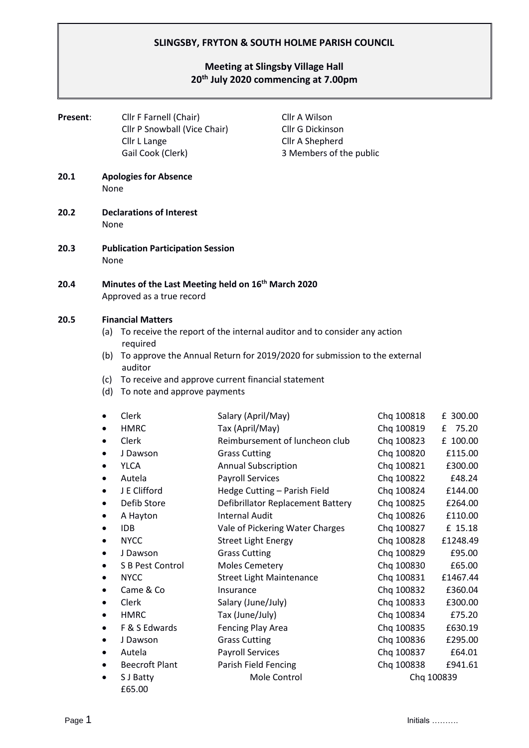## **SLINGSBY, FRYTON & SOUTH HOLME PARISH COUNCIL**

## **Meeting at Slingsby Village Hall 20th July 2020 commencing at 7.00pm**

| Present: | Cllr F Farnell (Chair)<br>Cllr P Snowball (Vice Chair)<br>Cllr L Lange<br>Gail Cook (Clerk)                                                                                                              |                                                                                                                                                                                                                                                                                         |                                                                                                                                                                                                                                                                                                                                                                                                                                                         | Cllr A Wilson<br>Cllr G Dickinson<br>Cllr A Shepherd<br>3 Members of the public                        |                                                                                                                                                                                                                                                                                                    |                                                                                                                                                                                                                                       |
|----------|----------------------------------------------------------------------------------------------------------------------------------------------------------------------------------------------------------|-----------------------------------------------------------------------------------------------------------------------------------------------------------------------------------------------------------------------------------------------------------------------------------------|---------------------------------------------------------------------------------------------------------------------------------------------------------------------------------------------------------------------------------------------------------------------------------------------------------------------------------------------------------------------------------------------------------------------------------------------------------|--------------------------------------------------------------------------------------------------------|----------------------------------------------------------------------------------------------------------------------------------------------------------------------------------------------------------------------------------------------------------------------------------------------------|---------------------------------------------------------------------------------------------------------------------------------------------------------------------------------------------------------------------------------------|
| 20.1     | <b>Apologies for Absence</b><br>None                                                                                                                                                                     |                                                                                                                                                                                                                                                                                         |                                                                                                                                                                                                                                                                                                                                                                                                                                                         |                                                                                                        |                                                                                                                                                                                                                                                                                                    |                                                                                                                                                                                                                                       |
| 20.2     | <b>Declarations of Interest</b><br>None                                                                                                                                                                  |                                                                                                                                                                                                                                                                                         |                                                                                                                                                                                                                                                                                                                                                                                                                                                         |                                                                                                        |                                                                                                                                                                                                                                                                                                    |                                                                                                                                                                                                                                       |
| 20.3     | <b>Publication Participation Session</b><br>None                                                                                                                                                         |                                                                                                                                                                                                                                                                                         |                                                                                                                                                                                                                                                                                                                                                                                                                                                         |                                                                                                        |                                                                                                                                                                                                                                                                                                    |                                                                                                                                                                                                                                       |
| 20.4     | Minutes of the Last Meeting held on 16 <sup>th</sup> March 2020<br>Approved as a true record                                                                                                             |                                                                                                                                                                                                                                                                                         |                                                                                                                                                                                                                                                                                                                                                                                                                                                         |                                                                                                        |                                                                                                                                                                                                                                                                                                    |                                                                                                                                                                                                                                       |
| 20.5     | <b>Financial Matters</b><br>To receive the report of the internal auditor and to consider any action<br>(a)<br>required<br>(b) To approve the Annual Return for 2019/2020 for submission to the external |                                                                                                                                                                                                                                                                                         |                                                                                                                                                                                                                                                                                                                                                                                                                                                         |                                                                                                        |                                                                                                                                                                                                                                                                                                    |                                                                                                                                                                                                                                       |
|          | auditor<br>(c) To receive and approve current financial statement<br>To note and approve payments<br>(d)                                                                                                 |                                                                                                                                                                                                                                                                                         |                                                                                                                                                                                                                                                                                                                                                                                                                                                         |                                                                                                        |                                                                                                                                                                                                                                                                                                    |                                                                                                                                                                                                                                       |
|          | $\bullet$<br>$\bullet$<br>$\bullet$<br>٠<br>٠                                                                                                                                                            | Clerk<br><b>HMRC</b><br>Clerk<br>J Dawson<br><b>YLCA</b><br>Autela<br>J E Clifford<br>Defib Store<br>A Hayton<br>IDB<br><b>NYCC</b><br>J Dawson<br>S B Pest Control<br><b>NYCC</b><br>Came & Co<br>Clerk<br><b>HMRC</b><br>F & S Edwards<br>J Dawson<br>Autela<br><b>Beecroft Plant</b> | Salary (April/May)<br>Tax (April/May)<br><b>Grass Cutting</b><br><b>Annual Subscription</b><br><b>Payroll Services</b><br>Hedge Cutting - Parish Field<br><b>Internal Audit</b><br><b>Street Light Energy</b><br><b>Grass Cutting</b><br><b>Moles Cemetery</b><br><b>Street Light Maintenance</b><br>Insurance<br>Salary (June/July)<br>Tax (June/July)<br>Fencing Play Area<br><b>Grass Cutting</b><br><b>Payroll Services</b><br>Parish Field Fencing | Reimbursement of luncheon club<br>Defibrillator Replacement Battery<br>Vale of Pickering Water Charges | Chq 100818<br>Chq 100819<br>Chq 100823<br>Chq 100820<br>Chq 100821<br>Chq 100822<br>Chq 100824<br>Chg 100825<br>Chq 100826<br>Chq 100827<br>Chq 100828<br>Chq 100829<br>Chq 100830<br>Chq 100831<br>Chq 100832<br>Chq 100833<br>Chq 100834<br>Chq 100835<br>Chq 100836<br>Chq 100837<br>Chq 100838 | £ 300.00<br>75.20<br>£<br>£ 100.00<br>£115.00<br>£300.00<br>£48.24<br>£144.00<br>£264.00<br>£110.00<br>£ 15.18<br>£1248.49<br>£95.00<br>£65.00<br>£1467.44<br>£360.04<br>£300.00<br>£75.20<br>£630.19<br>£295.00<br>£64.01<br>£941.61 |
|          |                                                                                                                                                                                                          | S J Batty<br>£65.00                                                                                                                                                                                                                                                                     | Mole Control                                                                                                                                                                                                                                                                                                                                                                                                                                            |                                                                                                        |                                                                                                                                                                                                                                                                                                    | Chq 100839                                                                                                                                                                                                                            |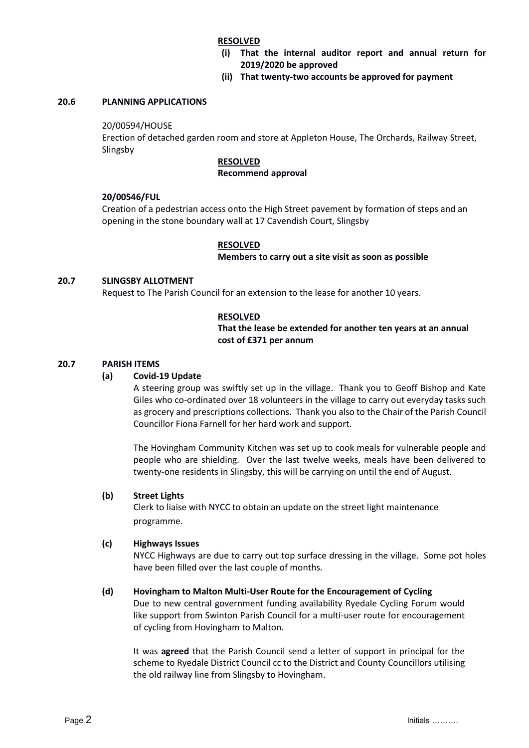## **RESOLVED**

- **(i) That the internal auditor report and annual return for 2019/2020 be approved**
- **(ii) That twenty-two accounts be approved for payment**

#### **20.6 PLANNING APPLICATIONS**

#### 20/00594/HOUSE

Erection of detached garden room and store at Appleton House, The Orchards, Railway Street, Slingsby

## **RESOLVED**

## **Recommend approval**

#### **20/00546/FUL**

Creation of a pedestrian access onto the High Street pavement by formation of steps and an opening in the stone boundary wall at 17 Cavendish Court, Slingsby

#### **RESOLVED**

#### **Members to carry out a site visit as soon as possible**

## **20.7 SLINGSBY ALLOTMENT**

Request to The Parish Council for an extension to the lease for another 10 years.

#### **RESOLVED**

## **That the lease be extended for another ten years at an annual cost of £371 per annum**

#### **20.7 PARISH ITEMS**

## **(a) Covid-19 Update**

A steering group was swiftly set up in the village. Thank you to Geoff Bishop and Kate Giles who co-ordinated over 18 volunteers in the village to carry out everyday tasks such as grocery and prescriptions collections. Thank you also to the Chair of the Parish Council Councillor Fiona Farnell for her hard work and support.

The Hovingham Community Kitchen was set up to cook meals for vulnerable people and people who are shielding. Over the last twelve weeks, meals have been delivered to twenty-one residents in Slingsby, this will be carrying on until the end of August.

#### **(b) Street Lights**

Clerk to liaise with NYCC to obtain an update on the street light maintenance programme.

#### **(c) Highways Issues**

NYCC Highways are due to carry out top surface dressing in the village. Some pot holes have been filled over the last couple of months.

## **(d) Hovingham to Malton Multi-User Route for the Encouragement of Cycling**

Due to new central government funding availability Ryedale Cycling Forum would like support from Swinton Parish Council for a multi-user route for encouragement of cycling from Hovingham to Malton.

It was **agreed** that the Parish Council send a letter of support in principal for the scheme to Ryedale District Council cc to the District and County Councillors utilising the old railway line from Slingsby to Hovingham.